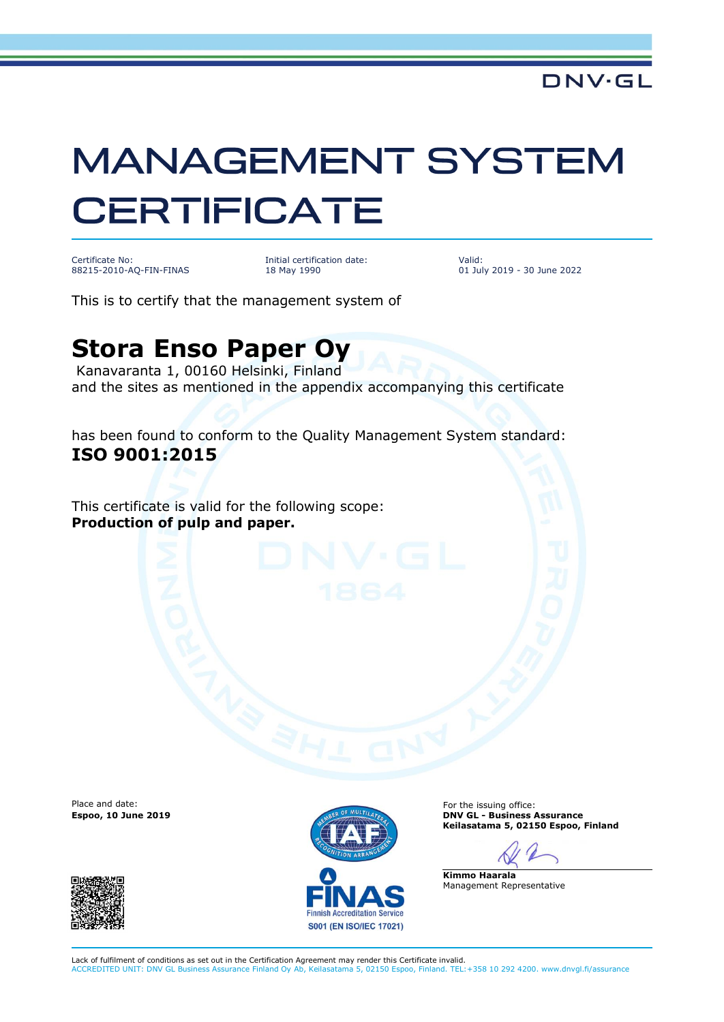## **MANAGEMENT SYSTEM CERTIFICATE**

Certificate No: 88215-2010-AQ-FIN-FINAS

Initial certification date: 18 May 1990

Valid: 01 July 2019 - 30 June 2022

This is to certify that the management system of

## **Stora Enso Paper Oy**

Kanavaranta 1, 00160 Helsinki, Finland and the sites as mentioned in the appendix accompanying this certificate

has been found to conform to the Quality Management System standard: **ISO 9001:2015**

This certificate is valid for the following scope: **Production of pulp and paper.**

Place and date:





For the issuing office: **Espoo, 10 June 2019 DNV GL - Business Assurance Keilasatama 5, 02150 Espoo, Finland**

**Kimmo Haarala** Management Representative

Lack of fulfilment of conditions as set out in the Certification Agreement may render this Certificate invalid. ACCREDITED UNIT: DNV GL Business Assurance Finland Oy Ab, Keilasatama 5, 02150 Espoo, Finland. TEL:+358 10 292 4200. www.dnvgl.fi/assurance